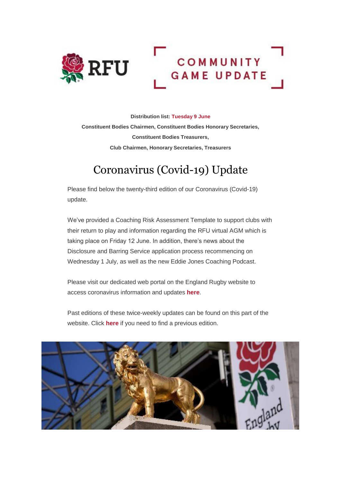

**Distribution list: Tuesday 9 June Constituent Bodies Chairmen, Constituent Bodies Honorary Secretaries, Constituent Bodies Treasurers, Club Chairmen, Honorary Secretaries, Treasurers** 

# Coronavirus (Covid-19) Update

Please find below the twenty-third edition of our Coronavirus (Covid-19) update.

We've provided a Coaching Risk Assessment Template to support clubs with their return to play and information regarding the RFU virtual AGM which is taking place on Friday 12 June. In addition, there's news about the Disclosure and Barring Service application process recommencing on Wednesday 1 July, as well as the new Eddie Jones Coaching Podcast.

Please visit our dedicated web portal on the England Rugby website to access coronavirus information and updates **[here](http://links.emails.rfumail.com/ctt?ms=OTYxODg3MgS2&kn=8&r=MTY5NjUyMTU4MDAzS0&b=0&j=MTUzMTM2MjQyMQS2&mt=1&rt=0)**.

Past editions of these twice-weekly updates can be found on this part of the website. Click **[here](http://links.emails.rfumail.com/ctt?ms=OTYxODg3MgS2&kn=4&r=MTY5NjUyMTU4MDAzS0&b=0&j=MTUzMTM2MjQyMQS2&mt=1&rt=0)** if you need to find a previous edition.

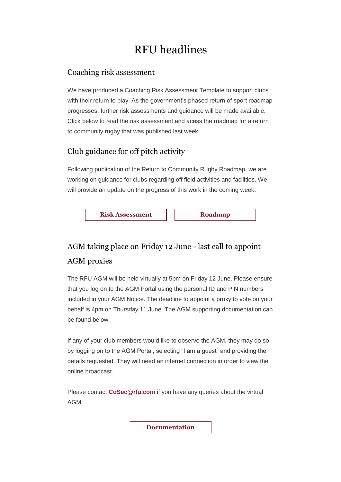## RFU headlines

#### Coaching risk assessment

We have produced a Coaching Risk Assessment Template to support clubs with their return to play. As the government's phased return of sport roadmap progresses, further risk assessments and guidance will be made available. Click below to read the risk assessment and acess the roadmap for a return to community rugby that was published last week.

#### Club guidance for off pitch activity

Following publication of the Return to Community Rugby Roadmap, we are working on guidance for clubs regarding off field activities and facilities. We will provide an update on the progress of this work in the coming week.

**[Risk Assessment](http://links.emails.rfumail.com/ctt?ms=OTYxODg3MgS2&kn=23&r=MTY5NjUyMTU4MDAzS0&b=0&j=MTUzMTM2MjQyMQS2&mt=1&rt=0)** | **[Roadmap](http://links.emails.rfumail.com/ctt?ms=OTYxODg3MgS2&kn=22&r=MTY5NjUyMTU4MDAzS0&b=0&j=MTUzMTM2MjQyMQS2&mt=1&rt=0)** 

### AGM taking place on Friday 12 June - last call to appoint AGM proxies

The RFU AGM will be held virtually at 5pm on Friday 12 June. Please ensure that you log on to the AGM Portal using the personal ID and PIN numbers included in your AGM Notice. The deadline to appoint a proxy to vote on your behalf is 4pm on Thursday 11 June. The AGM supporting documentation can be found below.

If any of your club members would like to observe the AGM, they may do so by logging on to the AGM Portal, selecting "I am a guest" and providing the details requested. They will need an internet connection in order to view the online broadcast.

Please contact **[CoSec@rfu.com](mailto:CoSec@rfu.com)** if you have any queries about the virtual AGM.

**[Documentation](http://links.emails.rfumail.com/ctt?ms=OTYxODg3MgS2&kn=25&r=MTY5NjUyMTU4MDAzS0&b=0&j=MTUzMTM2MjQyMQS2&mt=1&rt=0)**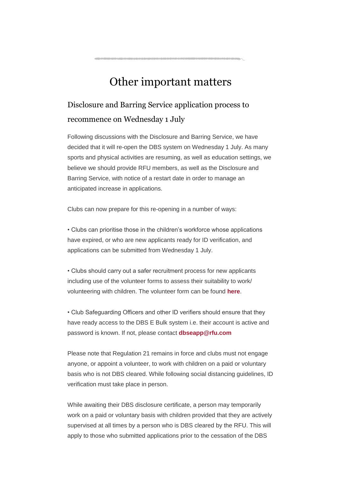## Other important matters

### Disclosure and Barring Service application process to recommence on Wednesday 1 July

Following discussions with the Disclosure and Barring Service, we have decided that it will re-open the DBS system on Wednesday 1 July. As many sports and physical activities are resuming, as well as education settings, we believe we should provide RFU members, as well as the Disclosure and Barring Service, with notice of a restart date in order to manage an anticipated increase in applications.

Clubs can now prepare for this re-opening in a number of ways:

• Clubs can prioritise those in the children's workforce whose applications have expired, or who are new applicants ready for ID verification, and applications can be submitted from Wednesday 1 July.

• Clubs should carry out a safer recruitment process for new applicants including use of the volunteer forms to assess their suitability to work/ volunteering with children. The volunteer form can be found **[here](http://links.emails.rfumail.com/ctt?ms=OTYxODg3MgS2&kn=19&r=MTY5NjUyMTU4MDAzS0&b=0&j=MTUzMTM2MjQyMQS2&mt=1&rt=0)**.

• Club Safeguarding Officers and other ID verifiers should ensure that they have ready access to the DBS E Bulk system i.e. their account is active and password is known. If not, please contact **[dbseapp@rfu.com](mailto:dbseapp@rfu.com)**

Please note that Regulation 21 remains in force and clubs must not engage anyone, or appoint a volunteer, to work with children on a paid or voluntary basis who is not DBS cleared. While following social distancing guidelines, ID verification must take place in person.

While awaiting their DBS disclosure certificate, a person may temporarily work on a paid or voluntary basis with children provided that they are actively supervised at all times by a person who is DBS cleared by the RFU. This will apply to those who submitted applications prior to the cessation of the DBS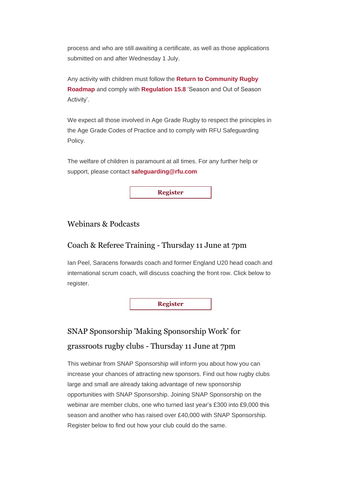process and who are still awaiting a certificate, as well as those applications submitted on and after Wednesday 1 July.

Any activity with children must follow the **[Return to Community Rugby](http://links.emails.rfumail.com/ctt?ms=OTYxODg3MgS2&kn=32&r=MTY5NjUyMTU4MDAzS0&b=0&j=MTUzMTM2MjQyMQS2&mt=1&rt=0)  [Roadmap](http://links.emails.rfumail.com/ctt?ms=OTYxODg3MgS2&kn=32&r=MTY5NjUyMTU4MDAzS0&b=0&j=MTUzMTM2MjQyMQS2&mt=1&rt=0)** and comply with **[Regulation 15.8](http://links.emails.rfumail.com/ctt?ms=OTYxODg3MgS2&kn=20&r=MTY5NjUyMTU4MDAzS0&b=0&j=MTUzMTM2MjQyMQS2&mt=1&rt=0)** 'Season and Out of Season Activity'.

We expect all those involved in Age Grade Rugby to respect the principles in the Age Grade Codes of Practice and to comply with RFU Safeguarding Policy.

The welfare of children is paramount at all times. For any further help or support, please contact **[safeguarding@rfu.com](mailto:safeguarding@rfu.com)**

**[Register](http://links.emails.rfumail.com/ctt?ms=OTYxODg3MgS2&kn=10&r=MTY5NjUyMTU4MDAzS0&b=0&j=MTUzMTM2MjQyMQS2&mt=1&rt=0)**

#### Webinars & Podcasts

#### Coach & Referee Training - Thursday 11 June at 7pm

Ian Peel, Saracens forwards coach and former England U20 head coach and international scrum coach, will discuss coaching the front row. Click below to register.

**[Register](http://links.emails.rfumail.com/ctt?ms=OTYxODg3MgS2&kn=9&r=MTY5NjUyMTU4MDAzS0&b=0&j=MTUzMTM2MjQyMQS2&mt=1&rt=0)**

### SNAP Sponsorship 'Making Sponsorship Work' for grassroots rugby clubs - Thursday 11 June at 7pm

This webinar from SNAP Sponsorship will inform you about how you can increase your chances of attracting new sponsors. Find out how rugby clubs large and small are already taking advantage of new sponsorship opportunities with SNAP Sponsorship. Joining SNAP Sponsorship on the webinar are member clubs, one who turned last year's £300 into £9,000 this season and another who has raised over £40,000 with SNAP Sponsorship. Register below to find out how your club could do the same.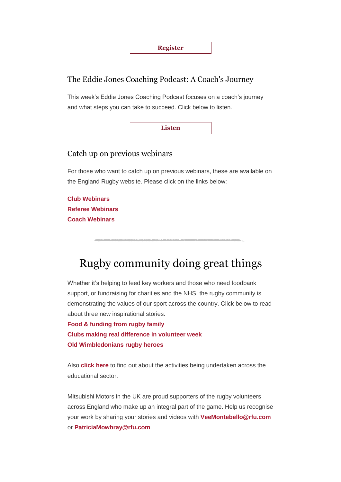

#### The Eddie Jones Coaching Podcast: A Coach's Journey

This week's Eddie Jones Coaching Podcast focuses on a coach's journey and what steps you can take to succeed. Click below to listen.

**[Listen](http://links.emails.rfumail.com/ctt?ms=OTYxODg3MgS2&kn=12&r=MTY5NjUyMTU4MDAzS0&b=0&j=MTUzMTM2MjQyMQS2&mt=1&rt=0)**

#### Catch up on previous webinars

For those who want to catch up on previous webinars, these are available on the England Rugby website. Please click on the links below:

**[Club Webinars](http://links.emails.rfumail.com/ctt?ms=OTYxODg3MgS2&kn=1&r=MTY5NjUyMTU4MDAzS0&b=0&j=MTUzMTM2MjQyMQS2&mt=1&rt=0) [Referee Webinars](http://links.emails.rfumail.com/ctt?ms=OTYxODg3MgS2&kn=35&r=MTY5NjUyMTU4MDAzS0&b=0&j=MTUzMTM2MjQyMQS2&mt=1&rt=0) [Coach Webinars](http://links.emails.rfumail.com/ctt?ms=OTYxODg3MgS2&kn=26&r=MTY5NjUyMTU4MDAzS0&b=0&j=MTUzMTM2MjQyMQS2&mt=1&rt=0)**

## Rugby community doing great things

Whether it's helping to feed key workers and those who need foodbank support, or fundraising for charities and the NHS, the rugby community is demonstrating the values of our sport across the country. Click below to read about three new inspirational stories:

**[Food & funding from rugby family](http://links.emails.rfumail.com/ctt?ms=OTYxODg3MgS2&kn=30&r=MTY5NjUyMTU4MDAzS0&b=0&j=MTUzMTM2MjQyMQS2&mt=1&rt=0) [Clubs making real difference in volunteer week](http://links.emails.rfumail.com/ctt?ms=OTYxODg3MgS2&kn=6&r=MTY5NjUyMTU4MDAzS0&b=0&j=MTUzMTM2MjQyMQS2&mt=1&rt=0) [Old Wimbledonians rugby heroes](http://links.emails.rfumail.com/ctt?ms=OTYxODg3MgS2&kn=27&r=MTY5NjUyMTU4MDAzS0&b=0&j=MTUzMTM2MjQyMQS2&mt=1&rt=0)**

Also **[click here](http://links.emails.rfumail.com/ctt?ms=OTYxODg3MgS2&kn=28&r=MTY5NjUyMTU4MDAzS0&b=0&j=MTUzMTM2MjQyMQS2&mt=1&rt=0)** to find out about the activities being undertaken across the educational sector.

Mitsubishi Motors in the UK are proud supporters of the rugby volunteers across England who make up an integral part of the game. Help us recognise your work by sharing your stories and videos with **[VeeMontebello@rfu.com](mailto:veemontebello@rfu.com)** or **[PatriciaMowbray@rfu.com](mailto:PatriciaMowbray@RFU.com)**.